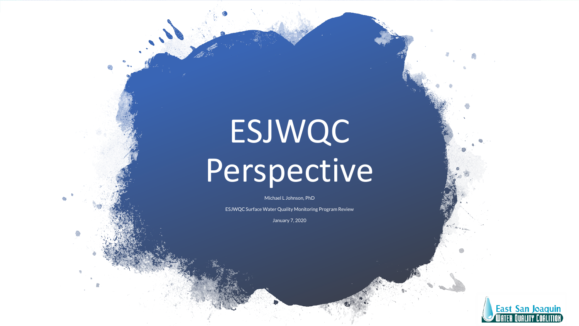# ESJWQC Perspective

Michael L Johnson, PhD

ESJWQC Surface Water Quality Monitoring Program Review

January 7, 2020

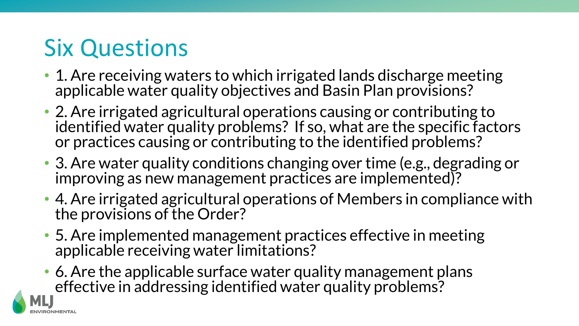### Six Questions

- 1. Are receiving waters to which irrigated lands discharge meeting applicable water quality objectives and Basin Plan provisions?
- 2. Are irrigated agricultural operations causing or contributing to identified water quality problems? If so, what are the specific factors or practices causing or contributing to the identified problems?
- 3. Are water quality conditions changing over time (e.g., degrading or improving as new management practices are implemented)?
- 4. Are irrigated agricultural operations of Members in compliance with the provisions of the Order?
- 5. Are implemented management practices effective in meeting applicable receiving water limitations?
- 6. Are the applicable surface water quality management plans effective in addressing identified water quality problems?

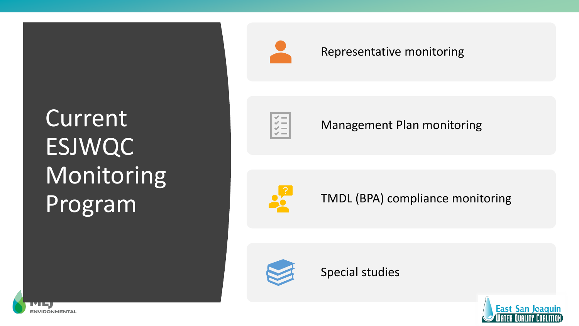## Current ESJWQC Monitoring Program

**ENVIRONMENTAL** 



#### Representative monitoring



#### Management Plan monitoring



TMDL (BPA) compliance monitoring



Special studies

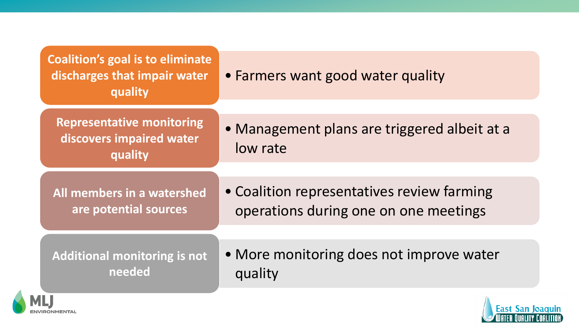| <b>Coalition's goal is to eliminate</b><br>discharges that impair water<br>quality | • Farmers want good water quality                        |
|------------------------------------------------------------------------------------|----------------------------------------------------------|
| <b>Representative monitoring</b><br>discovers impaired water<br>quality            | • Management plans are triggered albeit at a<br>low rate |
| All members in a watershed                                                         | • Coalition representatives review farming               |
| are potential sources                                                              | operations during one on one meetings                    |
| <b>Additional monitoring is not</b>                                                | • More monitoring does not improve water                 |
| needed                                                                             | quality                                                  |



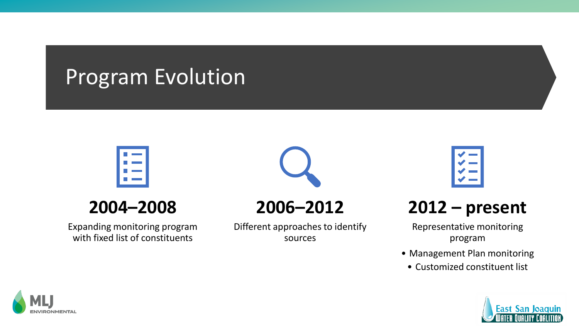### Program Evolution



### **2004–2008**

Expanding monitoring program with fixed list of constituents



**2006–2012**

Different approaches to identify sources



### **2012 – present**

Representative monitoring program

- Management Plan monitoring
	- Customized constituent list



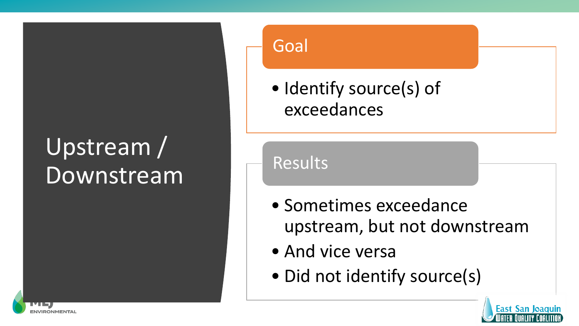## Upstream / Downstream

**INVIRONMENTA** 

#### Goal

• Identify source(s) of exceedances

Results

- Sometimes exceedance upstream, but not downstream
- And vice versa
- Did not identify source(s)

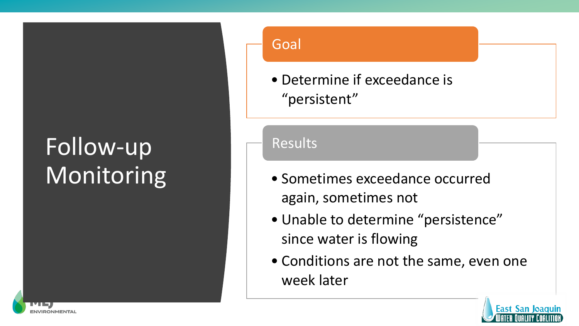## Follow-up **Monitoring**

**INVIRONMENTA** 

#### Goal

• Determine if exceedance is "persistent"

#### Results

- Sometimes exceedance occurred again, sometimes not
- Unable to determine "persistence" since water is flowing
- Conditions are not the same, even one week later

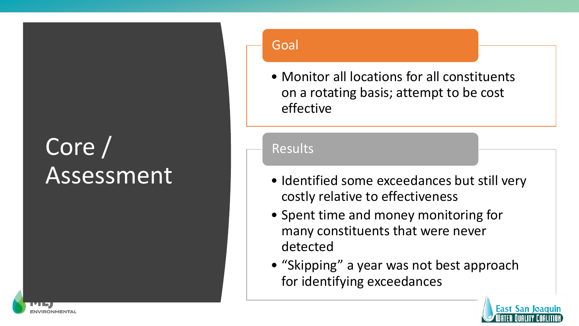## Core / Assessment

**INVIRONMENTA** 

#### Goal

• Monitor all locations for all constituents on a rotating basis; attempt to be cost effective

#### Results

- Identified some exceedances but still very costly relative to effectiveness
- Spent time and money monitoring for many constituents that were never detected
- "Skipping" a year was not best approach for identifying exceedances

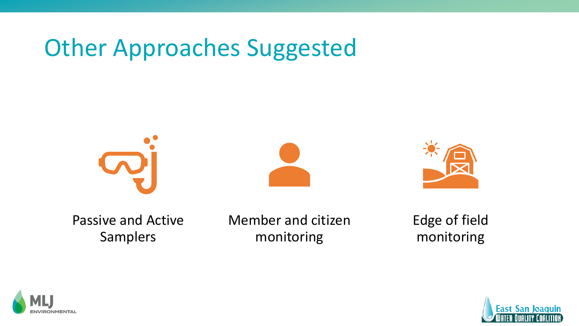### Other Approaches Suggested







Passive and Active Samplers

Member and citizen monitoring

Edge of field monitoring



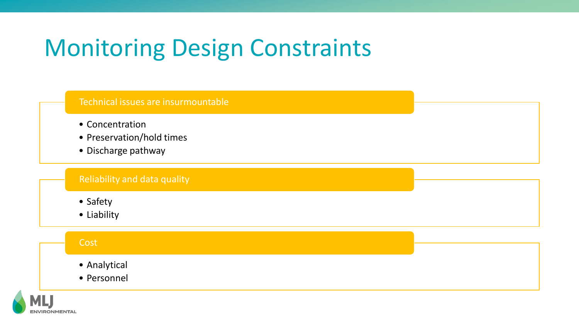### Monitoring Design Constraints



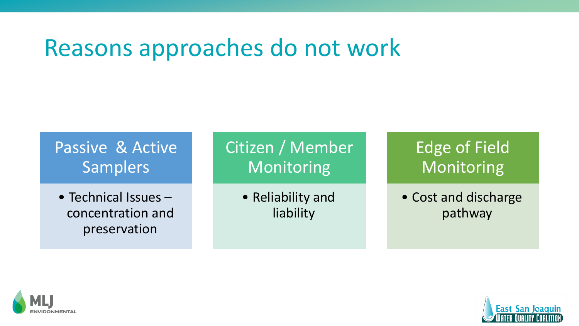### Reasons approaches do not work

### Passive & Active Samplers

• Technical Issues – concentration and preservation

Citizen / Member Monitoring

> • Reliability and liability

### Edge of Field Monitoring

• Cost and discharge pathway